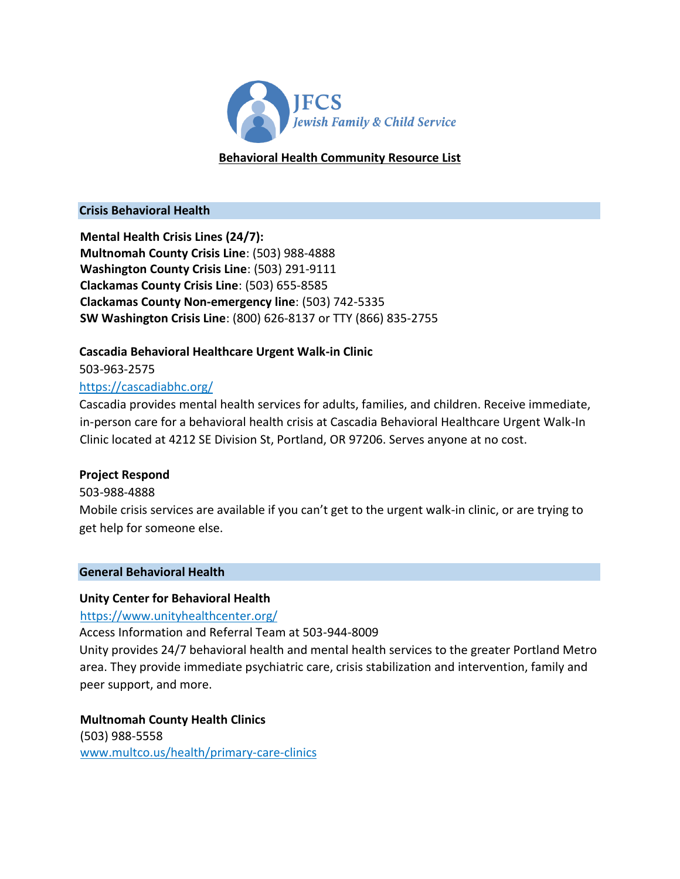

## **Behavioral Health Community Resource List**

#### **Crisis Behavioral Health**

**Mental Health Crisis Lines (24/7): Multnomah County Crisis Line**: (503) 988-4888 **Washington County Crisis Line**: (503) 291-9111 **Clackamas County Crisis Line**: (503) 655-8585 **Clackamas County Non-emergency line**: (503) 742-5335 **SW Washington Crisis Line**: (800) 626-8137 or TTY (866) 835-2755

## **Cascadia Behavioral Healthcare Urgent Walk-in Clinic**

503-963-2575

## <https://cascadiabhc.org/>

Cascadia provides mental health services for adults, families, and children. Receive immediate, in-person care for a behavioral health crisis at Cascadia Behavioral Healthcare Urgent Walk-In Clinic located at 4212 SE Division St, Portland, OR 97206. Serves anyone at no cost.

### **Project Respond**

### 503-988-4888

Mobile crisis services are available if you can't get to the urgent walk-in clinic, or are trying to get help for someone else.

### **General Behavioral Health**

### **Unity Center for Behavioral Health**

<https://www.unityhealthcenter.org/>

Access Information and Referral Team at 503-944-8009

Unity provides 24/7 behavioral health and mental health services to the greater Portland Metro area. They provide immediate psychiatric care, crisis stabilization and intervention, family and peer support, and more.

**Multnomah County Health Clinics** (503) 988-5558 <www.multco.us/health/primary-care-clinics>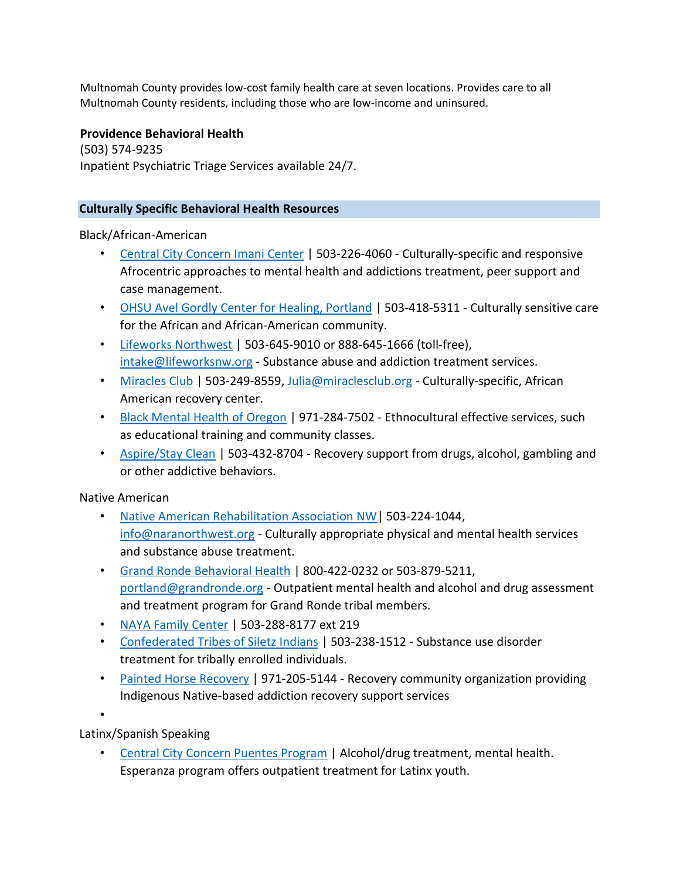Multnomah County provides low-cost family health care at seven locations. Provides care to all Multnomah County residents, including those who are low-income and uninsured.

### **Providence Behavioral Health**

(503) 574-9235 Inpatient Psychiatric Triage Services available 24/7.

#### **Culturally Specific Behavioral Health Resources**

Black/African-American

- [Central City Concern Imani Center](https://centralcityconcern.org/recovery-location/imani-center/) | 503-226-4060 Culturally-specific and responsive Afrocentric approaches to mental health and addictions treatment, peer support and case management.
- [OHSU Avel Gordly Center for Healing, Portland](https://www.ohsu.edu/brain-institute/ohsu-avel-gordly-center-healing-portland) | 503-418-5311 Culturally sensitive care for the African and African-American community.
- [Lifeworks Northwest](https://www.lifeworksnw.org/addiction-services/) | 503-645-9010 or 888-645-1666 (toll-free), intake@lifeworksnw.org - Substance abuse and addiction treatment services.
- [Miracles Club](https://themiraclesclub.org/en/) | 503-249-8559, Julia@miraclesclub.org Culturally-specific, African American recovery center.
- [Black Mental Health of Oregon](https://blackmentalhealthoregon.com/) | 971-284-7502 Ethnocultural effective services, such as educational training and community classes.
- [Aspire/Stay Clean](http://nicelocal.com/redirect/?to=http%3A%2F%2Faspirepdx.wix.com%2Faspire1&hash=fad1796b67a807b303903142080e61d2&from=60df3e1fbb64d23a1a123ec4.f936&ext_site=ext_site&backurl=https%3A%2F%2Fnicelocal.com%2Fportland%2Fentertainment%2Faspire_stay_clean%2F) | 503-432-8704 Recovery support from drugs, alcohol, gambling and or other addictive behaviors.

Native American

- Native American Rehabilitation Association NW | 503-224-1044, info@naranorthwest.org - Culturally appropriate physical and mental health services and substance abuse treatment.
- [Grand Ronde Behavioral Health](https://www.grandronde.org/services/health-wellness/behavioral-health/) | 800-422-0232 or 503-879-5211, portland@grandronde.org - Outpatient mental health and alcohol and drug assessment and treatment program for Grand Ronde tribal members.
- [NAYA Family Center](https://nayapdx.org/about/vision/) | 503-288-8177 ext 219
- [Confederated Tribes of Siletz Indians](http://www.ctsi.nsn.us/) | 503-238-1512 Substance use disorder treatment for tribally enrolled individuals.
- [Painted Horse Recovery](http://paintedhorserecovery.org/) | 971-205-5144 Recovery community organization providing Indigenous Native-based addiction recovery support services

•

Latinx/Spanish Speaking

• [Central City Concern Puentes Program](https://centralcityconcern.org/recovery-location/puentes/) | Alcohol/drug treatment, mental health. Esperanza program offers outpatient treatment for Latinx youth.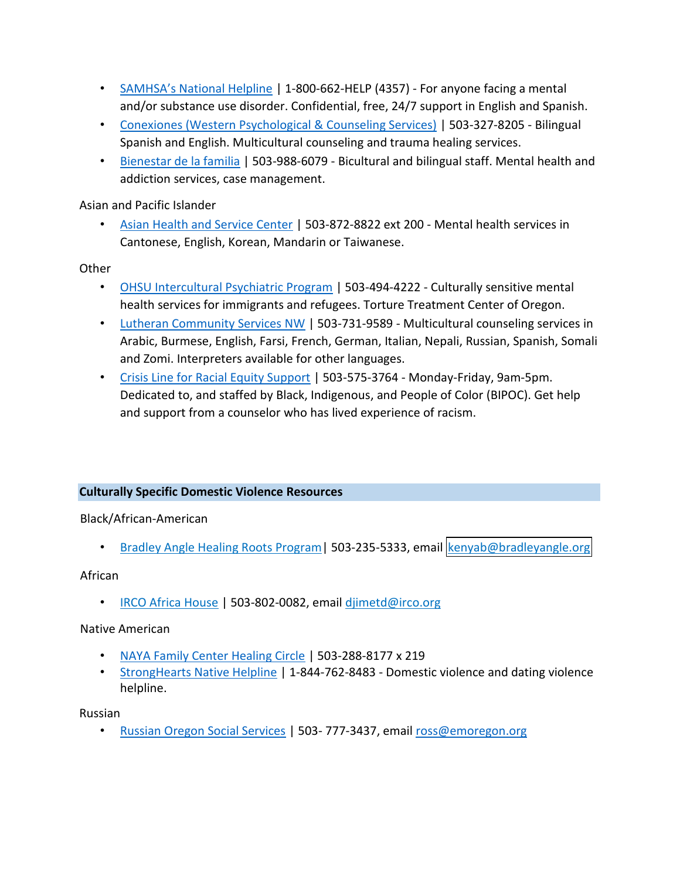- [SAMHSA's National Helpline](https://www.samhsa.gov/find-help/national-helpline) | 1-800-662-HELP (4357) For anyone facing a mental and/or substance use disorder. Confidential, free, 24/7 support in English and Spanish.
- [Conexiones \(Western Psychological & Counseling Services\)](https://www.westernpsych.com/services/western-conexiones) | 503-327-8205 Bilingual Spanish and English. Multicultural counseling and trauma healing services.
- [Bienestar de la familia](https://www.multco.us/dchs/bienestar-de-la-familia) | 503-988-6079 Bicultural and bilingual staff. Mental health and addiction services, case management.

Asian and Pacific Islander

• [Asian Health and Service Center](https://www.ahscpdx.org/mentalhealth.html) | 503-872-8822 ext 200 - Mental health services in Cantonese, English, Korean, Mandarin or Taiwanese.

**Other** 

- [OHSU Intercultural Psychiatric Program](https://www.ohsu.edu/brain-institute/psychiatric-department-clinics-and-divisions) | 503-494-4222 Culturally sensitive mental health services for immigrants and refugees. Torture Treatment Center of Oregon.
- [Lutheran Community Services NW](https://lcsnw.org/program/multicultural-counseling-services/) [|](https://lcsnw.org/program/multicultural-counseling-services/) 503-731-9589 Multicultural counseling services in Arabic, Burmese, English, Farsi, French, German, Italian, Nepali, Russian, Spanish, Somali and Zomi. Interpreters available for other languages.
- [Crisis Line for Racial Equity Support](https://www.linesforlife.org/racial-equity-support-line/) | 503-575-3764 Monday-Friday, 9am-5pm. Dedicated to, and staffed by Black, Indigenous, and People of Color (BIPOC). Get help and support from a counselor who has lived experience of racism.

### **Culturally Specific Domestic Violence Resources**

Black/African-American

• [Bradley Angle Healing Roots Program|](https://bradleyangle.org/get-help/programs/healing-roots/) 503-235-5333, email [kenyab@bradleyangle.org](mailto:kenyab@bradleyangle.orgk)

### African

• [IRCO Africa House](https://irco.org/who-we-are/africa-house.html) | 503-802-0082, email [djimetd@irco.org](mailto:djimetd@irco.org)

## Native American

- [NAYA Family Center Healing Circle](https://nayapdx.org/services/critical-services/domestic-violence-healing-circle/) [|](https://nayapdx.org/services/critical-services/domestic-violence-healing-circle/) 503-288-8177 x 219
- [StrongHearts Native Helpline](https://www.strongheartshelpline.org/) | 1-844-762-8483 Domestic violence and dating violence helpline.

### Russian

• [Russian Oregon Social Services](https://emoregon.org/ross/ross-dv/) | 503- 777-3437, email ross@emoregon.org